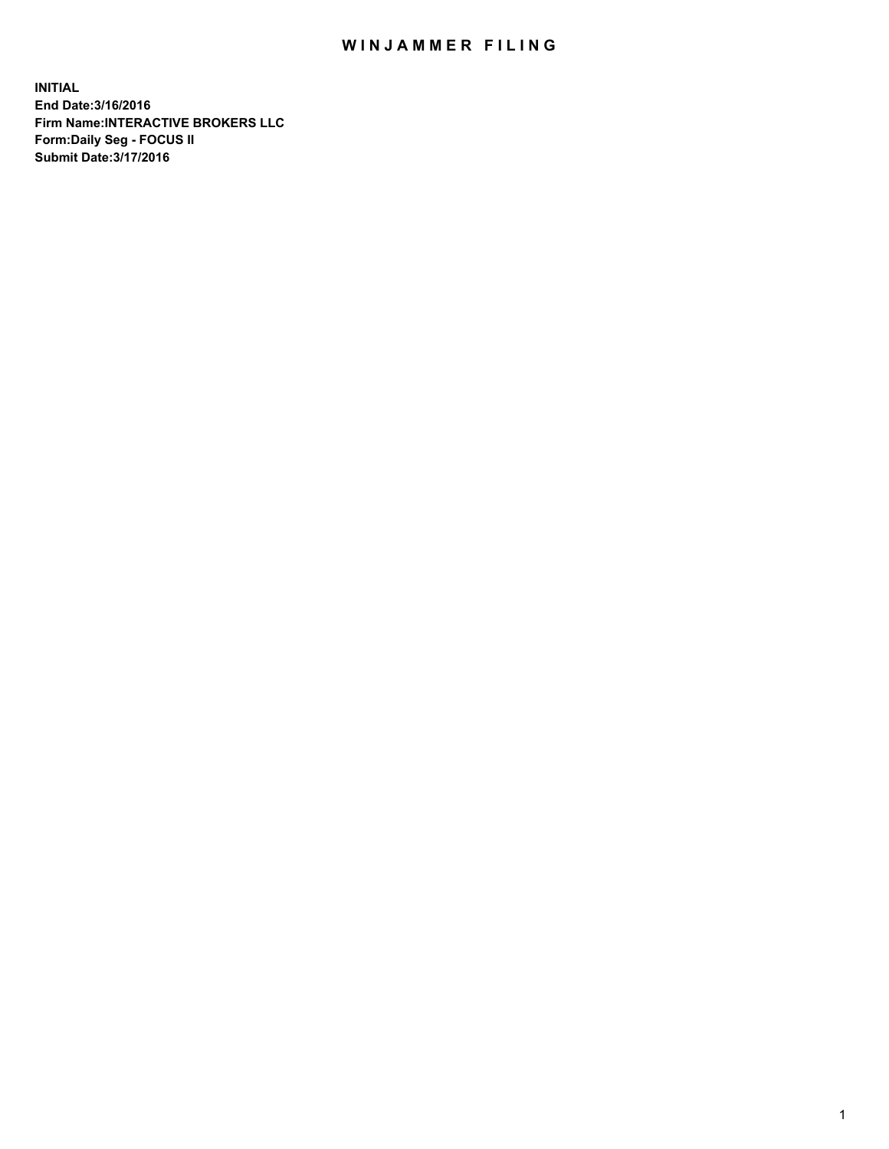## WIN JAMMER FILING

**INITIAL End Date:3/16/2016 Firm Name:INTERACTIVE BROKERS LLC Form:Daily Seg - FOCUS II Submit Date:3/17/2016**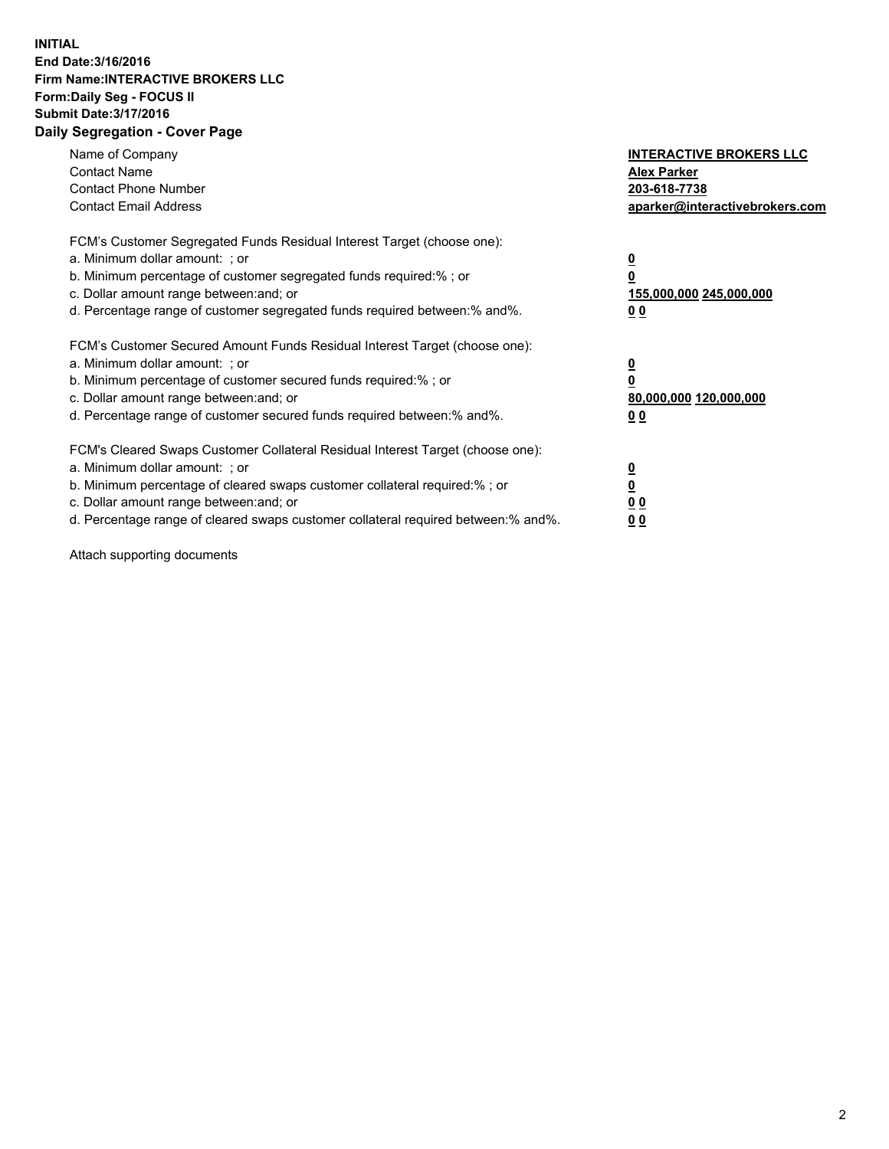## **INITIAL End Date:3/16/2016 Firm Name:INTERACTIVE BROKERS LLC Form:Daily Seg - FOCUS II Submit Date:3/17/2016 Daily Segregation - Cover Page**

| Name of Company<br><b>Contact Name</b><br><b>Contact Phone Number</b><br><b>Contact Email Address</b>                                                                                                                                                                                                                          | <b>INTERACTIVE BROKERS LLC</b><br><b>Alex Parker</b><br>203-618-7738<br>aparker@interactivebrokers.com |
|--------------------------------------------------------------------------------------------------------------------------------------------------------------------------------------------------------------------------------------------------------------------------------------------------------------------------------|--------------------------------------------------------------------------------------------------------|
| FCM's Customer Segregated Funds Residual Interest Target (choose one):<br>a. Minimum dollar amount: ; or<br>b. Minimum percentage of customer segregated funds required:% ; or<br>c. Dollar amount range between: and; or<br>d. Percentage range of customer segregated funds required between:% and%.                         | <u>0</u><br>155,000,000 245,000,000<br><u>00</u>                                                       |
| FCM's Customer Secured Amount Funds Residual Interest Target (choose one):<br>a. Minimum dollar amount: ; or<br>b. Minimum percentage of customer secured funds required:% ; or<br>c. Dollar amount range between: and; or<br>d. Percentage range of customer secured funds required between:% and%.                           | <u>0</u><br>80,000,000 120,000,000<br>0 <sub>0</sub>                                                   |
| FCM's Cleared Swaps Customer Collateral Residual Interest Target (choose one):<br>a. Minimum dollar amount: ; or<br>b. Minimum percentage of cleared swaps customer collateral required:% ; or<br>c. Dollar amount range between: and; or<br>d. Percentage range of cleared swaps customer collateral required between:% and%. | <u>0</u><br>0 <sub>0</sub><br>0 <sub>0</sub>                                                           |

Attach supporting documents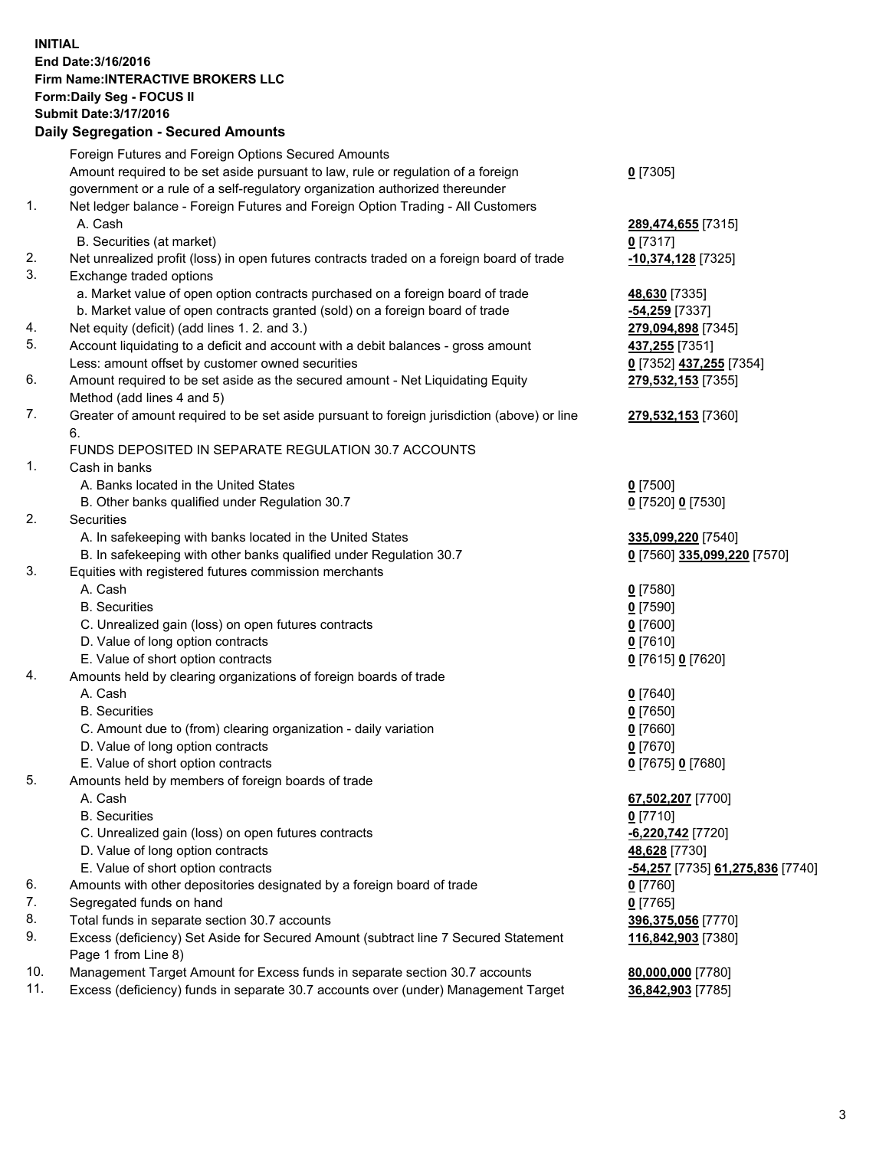## **INITIAL End Date:3/16/2016 Firm Name:INTERACTIVE BROKERS LLC Form:Daily Seg - FOCUS II Submit Date:3/17/2016 Daily Segregation - Secured Amounts**

|                | Daily Jegregation - Jeculed Aniounts                                                                       |                                  |
|----------------|------------------------------------------------------------------------------------------------------------|----------------------------------|
|                | Foreign Futures and Foreign Options Secured Amounts                                                        |                                  |
|                | Amount required to be set aside pursuant to law, rule or regulation of a foreign                           | $0$ [7305]                       |
|                | government or a rule of a self-regulatory organization authorized thereunder                               |                                  |
| 1.             | Net ledger balance - Foreign Futures and Foreign Option Trading - All Customers                            |                                  |
|                | A. Cash                                                                                                    | 289,474,655 [7315]               |
|                | B. Securities (at market)                                                                                  | 0 [7317]                         |
| 2.             | Net unrealized profit (loss) in open futures contracts traded on a foreign board of trade                  | 10,374,128 [7325]                |
| 3.             | Exchange traded options                                                                                    |                                  |
|                | a. Market value of open option contracts purchased on a foreign board of trade                             | 48,630 [7335]                    |
|                | b. Market value of open contracts granted (sold) on a foreign board of trade                               | -54,259 [7337]                   |
| 4.             | Net equity (deficit) (add lines 1.2. and 3.)                                                               | 279,094,898 [7345]               |
| 5.             | Account liquidating to a deficit and account with a debit balances - gross amount                          | 437,255 [7351]                   |
|                | Less: amount offset by customer owned securities                                                           | 0 [7352] 437,255 [7354]          |
| 6.             | Amount required to be set aside as the secured amount - Net Liquidating Equity                             | 279,532,153 [7355]               |
|                | Method (add lines 4 and 5)                                                                                 |                                  |
| 7.             | Greater of amount required to be set aside pursuant to foreign jurisdiction (above) or line                | 279,532,153 [7360]               |
|                | 6.                                                                                                         |                                  |
|                | FUNDS DEPOSITED IN SEPARATE REGULATION 30.7 ACCOUNTS                                                       |                                  |
| $\mathbf{1}$ . | Cash in banks                                                                                              |                                  |
|                | A. Banks located in the United States                                                                      | $0$ [7500]                       |
|                | B. Other banks qualified under Regulation 30.7                                                             | 0 [7520] 0 [7530]                |
| 2.             | Securities                                                                                                 |                                  |
|                | A. In safekeeping with banks located in the United States                                                  | 335,099,220 [7540]               |
|                | B. In safekeeping with other banks qualified under Regulation 30.7                                         | 0 [7560] 335,099,220 [7570]      |
| 3.             | Equities with registered futures commission merchants                                                      |                                  |
|                | A. Cash                                                                                                    | $0$ [7580]                       |
|                | <b>B.</b> Securities                                                                                       | $0$ [7590]                       |
|                | C. Unrealized gain (loss) on open futures contracts                                                        | $0$ [7600]                       |
|                | D. Value of long option contracts                                                                          | $0$ [7610]                       |
|                | E. Value of short option contracts                                                                         | 0 [7615] 0 [7620]                |
| 4.             | Amounts held by clearing organizations of foreign boards of trade                                          |                                  |
|                | A. Cash                                                                                                    | $0$ [7640]                       |
|                | <b>B.</b> Securities                                                                                       | $0$ [7650]                       |
|                | C. Amount due to (from) clearing organization - daily variation                                            | $0$ [7660]                       |
|                | D. Value of long option contracts                                                                          | $0$ [7670]                       |
|                | E. Value of short option contracts                                                                         | 0 [7675] 0 [7680]                |
| 5.             | Amounts held by members of foreign boards of trade                                                         |                                  |
|                | A. Cash                                                                                                    | 67,502,207 [7700]                |
|                | <b>B.</b> Securities                                                                                       | $0$ [7710]                       |
|                | C. Unrealized gain (loss) on open futures contracts                                                        | $-6,220,742$ [7720]              |
|                | D. Value of long option contracts                                                                          | 48,628 [7730]                    |
|                | E. Value of short option contracts                                                                         | -54,257 [7735] 61,275,836 [7740] |
| 6.             | Amounts with other depositories designated by a foreign board of trade                                     | 0 [7760]                         |
| 7.             | Segregated funds on hand                                                                                   | $0$ [7765]                       |
| 8.             | Total funds in separate section 30.7 accounts                                                              | 396,375,056 [7770]               |
| 9.             | Excess (deficiency) Set Aside for Secured Amount (subtract line 7 Secured Statement<br>Page 1 from Line 8) | 116,842,903 [7380]               |
| 10.            | Management Target Amount for Excess funds in separate section 30.7 accounts                                | 80,000,000 [7780]                |
| 11.            | Excess (deficiency) funds in separate 30.7 accounts over (under) Management Target                         | 36,842,903 [7785]                |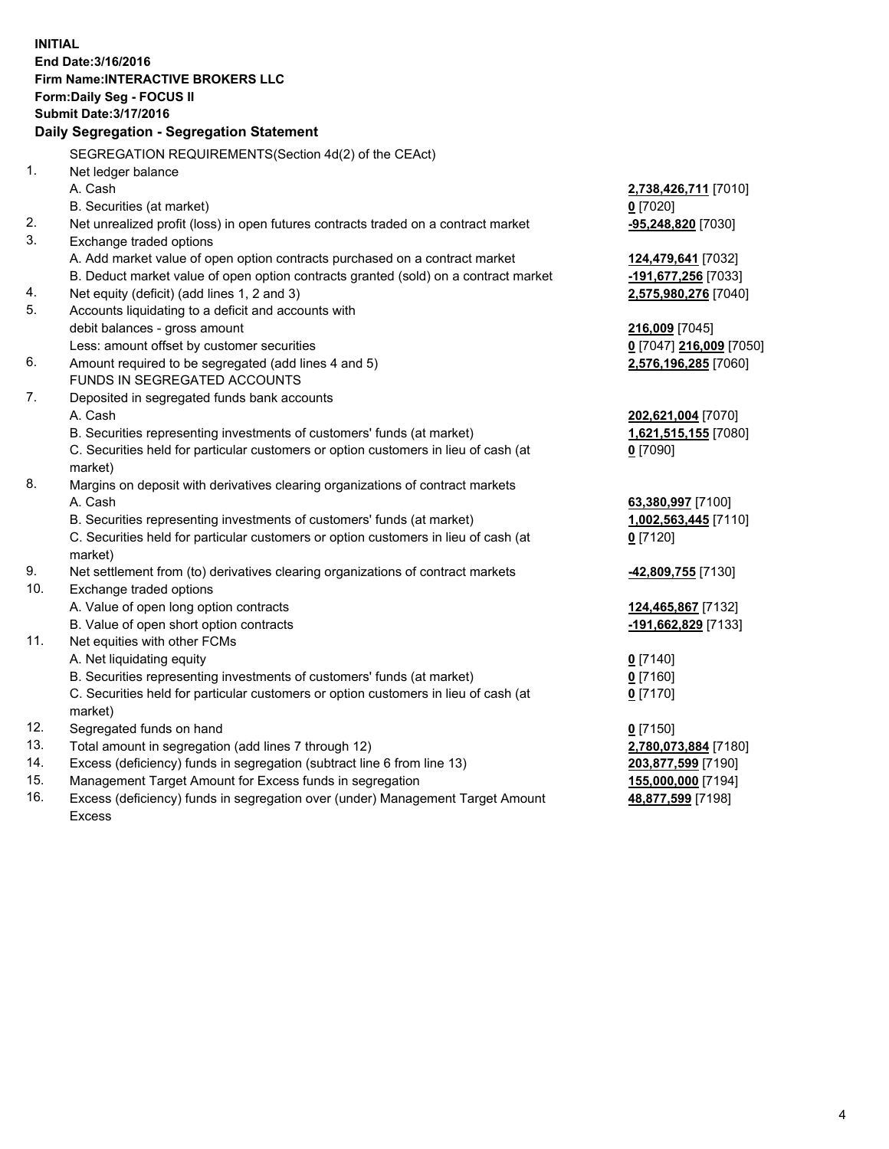**INITIAL End Date:3/16/2016 Firm Name:INTERACTIVE BROKERS LLC Form:Daily Seg - FOCUS II Submit Date:3/17/2016 Daily Segregation - Segregation Statement** SEGREGATION REQUIREMENTS(Section 4d(2) of the CEAct) 1. Net ledger balance A. Cash **2,738,426,711** [7010] B. Securities (at market) **0** [7020] 2. Net unrealized profit (loss) in open futures contracts traded on a contract market **-95,248,820** [7030] 3. Exchange traded options A. Add market value of open option contracts purchased on a contract market **124,479,641** [7032] B. Deduct market value of open option contracts granted (sold) on a contract market **-191,677,256** [7033] 4. Net equity (deficit) (add lines 1, 2 and 3) **2,575,980,276** [7040] 5. Accounts liquidating to a deficit and accounts with debit balances - gross amount **216,009** [7045] Less: amount offset by customer securities **0** [7047] **216,009** [7050] 6. Amount required to be segregated (add lines 4 and 5) **2,576,196,285** [7060] FUNDS IN SEGREGATED ACCOUNTS 7. Deposited in segregated funds bank accounts A. Cash **202,621,004** [7070] B. Securities representing investments of customers' funds (at market) **1,621,515,155** [7080] C. Securities held for particular customers or option customers in lieu of cash (at market) **0** [7090] 8. Margins on deposit with derivatives clearing organizations of contract markets A. Cash **63,380,997** [7100] B. Securities representing investments of customers' funds (at market) **1,002,563,445** [7110] C. Securities held for particular customers or option customers in lieu of cash (at market) **0** [7120] 9. Net settlement from (to) derivatives clearing organizations of contract markets **-42,809,755** [7130] 10. Exchange traded options A. Value of open long option contracts **124,465,867** [7132] B. Value of open short option contracts **-191,662,829** [7133] 11. Net equities with other FCMs A. Net liquidating equity **0** [7140] B. Securities representing investments of customers' funds (at market) **0** [7160] C. Securities held for particular customers or option customers in lieu of cash (at market) **0** [7170] 12. Segregated funds on hand **0** [7150] 13. Total amount in segregation (add lines 7 through 12) **2,780,073,884** [7180] 14. Excess (deficiency) funds in segregation (subtract line 6 from line 13) **203,877,599** [7190] 15. Management Target Amount for Excess funds in segregation **155,000,000** [7194] **48,877,599** [7198]

16. Excess (deficiency) funds in segregation over (under) Management Target Amount Excess